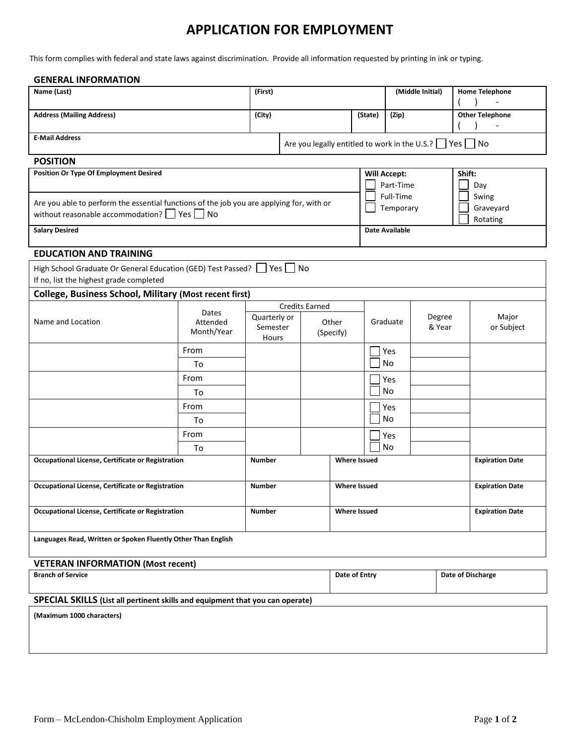## **APPLICATION FOR EMPLOYMENT**

This form complies with federal and state laws against discrimination. Provide all information requested by printing in ink or typing.

| <b>GENERAL INFORMATION</b>                                                                                                                |                   |                                                |         |                                                          |                     |                                                            |          |                  |                        |                                     |  |
|-------------------------------------------------------------------------------------------------------------------------------------------|-------------------|------------------------------------------------|---------|----------------------------------------------------------|---------------------|------------------------------------------------------------|----------|------------------|------------------------|-------------------------------------|--|
| Name (Last)                                                                                                                               |                   |                                                | (First) |                                                          |                     |                                                            |          | (Middle Initial) |                        | <b>Home Telephone</b>               |  |
| <b>Address (Mailing Address)</b>                                                                                                          |                   | (City)                                         |         |                                                          |                     | (State)                                                    | (Zip)    |                  |                        | <b>Other Telephone</b>              |  |
| <b>E-Mail Address</b>                                                                                                                     |                   |                                                |         | Are you legally entitled to work in the U.S.?   Yes   No |                     |                                                            |          |                  |                        |                                     |  |
| <b>POSITION</b>                                                                                                                           |                   |                                                |         |                                                          |                     |                                                            |          |                  |                        |                                     |  |
| <b>Position Or Type Of Employment Desired</b><br>Are you able to perform the essential functions of the job you are applying for, with or |                   |                                                |         |                                                          |                     | <b>Will Accept:</b><br>Part-Time<br>Full-Time<br>Temporary |          |                  |                        | Shift:<br>Day<br>Swing<br>Graveyard |  |
| without reasonable accommodation? $\Box$ Yes $\Box$ No                                                                                    |                   |                                                |         |                                                          |                     |                                                            |          |                  |                        | Rotating                            |  |
| <b>Salary Desired</b>                                                                                                                     |                   |                                                |         |                                                          |                     | <b>Date Available</b>                                      |          |                  |                        |                                     |  |
| <b>EDUCATION AND TRAINING</b>                                                                                                             |                   |                                                |         |                                                          |                     |                                                            |          |                  |                        |                                     |  |
| High School Graduate Or General Education (GED) Test Passed?   Yes   No<br>If no, list the highest grade completed                        |                   |                                                |         |                                                          |                     |                                                            |          |                  |                        |                                     |  |
| <b>College, Business School, Military (Most recent first)</b>                                                                             |                   |                                                |         |                                                          |                     |                                                            |          |                  |                        |                                     |  |
| Name and Location                                                                                                                         | Dates<br>Attended | <b>Credits Earned</b><br>Quarterly or<br>Other |         |                                                          |                     |                                                            | Graduate |                  | Degree                 | Major                               |  |
|                                                                                                                                           | Month/Year        | Semester<br>Hours                              |         | (Specify)                                                |                     |                                                            |          | & Year           |                        | or Subject                          |  |
|                                                                                                                                           | From              |                                                |         |                                                          |                     |                                                            | Yes      |                  |                        |                                     |  |
|                                                                                                                                           | To                |                                                |         |                                                          |                     |                                                            | No       |                  |                        |                                     |  |
|                                                                                                                                           | From              |                                                |         |                                                          |                     |                                                            | Yes      |                  |                        |                                     |  |
|                                                                                                                                           | To                |                                                |         |                                                          |                     |                                                            | No       |                  |                        |                                     |  |
|                                                                                                                                           | From              |                                                |         |                                                          |                     |                                                            | Yes      |                  |                        |                                     |  |
|                                                                                                                                           | To                |                                                |         |                                                          |                     |                                                            | No       |                  |                        |                                     |  |
|                                                                                                                                           | From              |                                                |         |                                                          |                     |                                                            | Yes      |                  |                        |                                     |  |
|                                                                                                                                           | To                |                                                |         |                                                          |                     |                                                            | No       |                  |                        |                                     |  |
| Occupational License, Certificate or Registration                                                                                         |                   | <b>Number</b>                                  |         |                                                          | <b>Where Issued</b> |                                                            |          |                  | <b>Expiration Date</b> |                                     |  |
| Occupational License, Certificate or Registration                                                                                         |                   | <b>Number</b>                                  |         | <b>Where Issued</b>                                      |                     |                                                            |          |                  | <b>Expiration Date</b> |                                     |  |
| Occupational License, Certificate or Registration                                                                                         |                   | <b>Number</b>                                  |         | <b>Where Issued</b>                                      |                     |                                                            |          |                  | <b>Expiration Date</b> |                                     |  |
| Languages Read, Written or Spoken Fluently Other Than English                                                                             |                   |                                                |         |                                                          |                     |                                                            |          |                  |                        |                                     |  |
| <b>VETERAN INFORMATION (Most recent)</b>                                                                                                  |                   |                                                |         |                                                          |                     |                                                            |          |                  |                        |                                     |  |
| <b>Branch of Service</b>                                                                                                                  |                   |                                                |         |                                                          |                     | Date of Entry                                              |          |                  | Date of Discharge      |                                     |  |
| SPECIAL SKILLS (List all pertinent skills and equipment that you can operate)                                                             |                   |                                                |         |                                                          |                     |                                                            |          |                  |                        |                                     |  |
| (Maximum 1000 characters)                                                                                                                 |                   |                                                |         |                                                          |                     |                                                            |          |                  |                        |                                     |  |
|                                                                                                                                           |                   |                                                |         |                                                          |                     |                                                            |          |                  |                        |                                     |  |
|                                                                                                                                           |                   |                                                |         |                                                          |                     |                                                            |          |                  |                        |                                     |  |